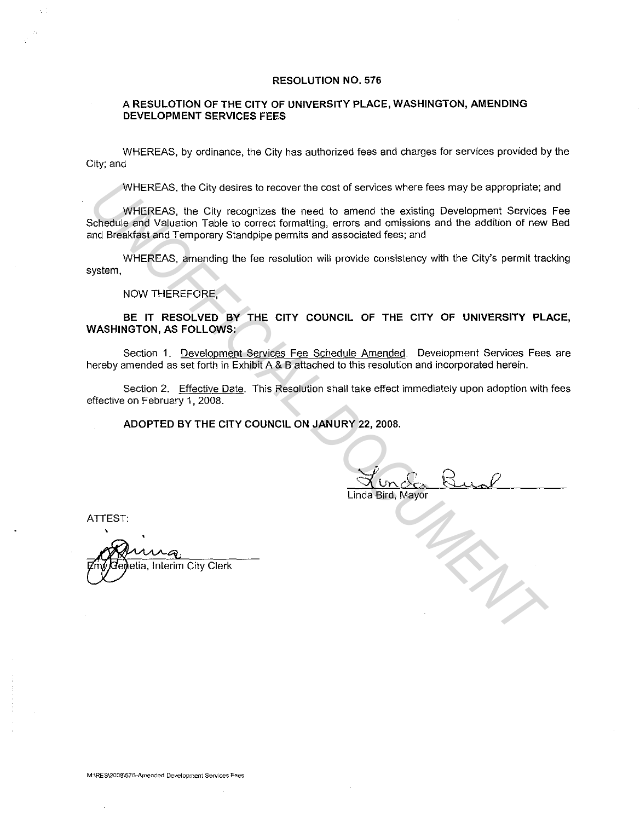#### **RESOLUTION NO. 576**

#### **A RESULOTION OF THE CITY OF UNIVERSITY PLACE, WASHINGTON, AMENDING DEVELOPMENT SERVICES FEES**

WHEREAS, by ordinance, the City has authorized fees and charges for services provided by the City; and

WHEREAS, the City desires to recover the cost of services where fees may be appropriate; and

WHEREAS, the City recognizes the need to amend the existing Development Services Fee Schedule and Valuation Table to correct formatting, errors and omissions and the addition of new Bed and Breakfast and Temporary Standpipe permits and associated fees; and WHEREAS, the City desires to recover the cost of services where fees may be appropriate, a<br>
uniformetay, the City recognizes the need to amend the exising Development Services<br>
Schedule and Yellustion Table to correct form

WHEREAS, amending the fee resolution will provide consistency with the City's permit tracking system,

NOW THEREFORE,

**BE IT RESOLVED BY THE CITY COUNCIL OF THE CITY OF UNIVERSITY PLACE, WASHINGTON, AS FOLLOWS:** 

Section 1. Development Services Fee Schedule Amended. Development Services Fees are hereby amended as set forth in Exhibit A & B attached to this resolution and incorporated herein.

Section 2. Effective Date. This Resolution shall take effect immediately upon adoption with fees effective on February 1, 2008.

**ADOPTED BY THE CITY COUNCIL ON JANURY 22, 2008.** 

Linda Bird, Mayor

ATTEST:

'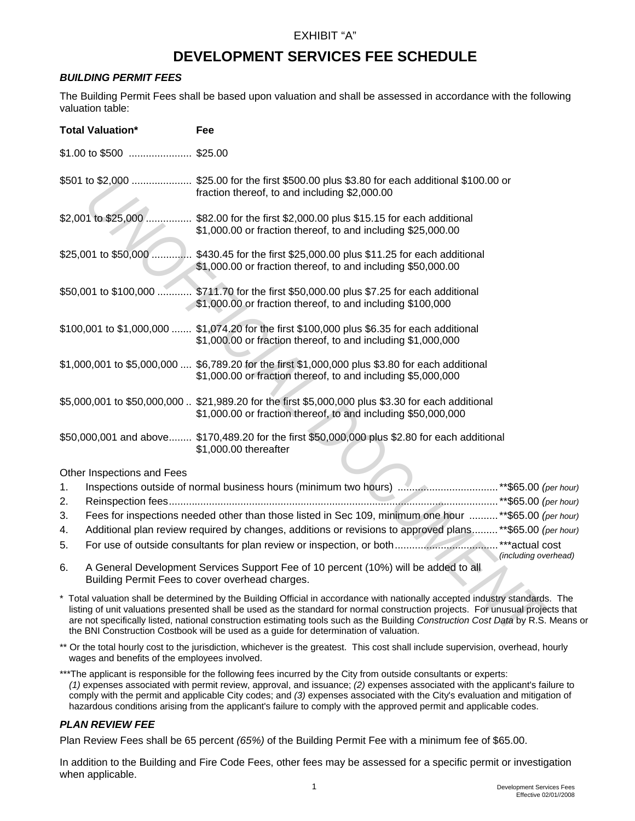# EXHIBIT "A"

# **DEVELOPMENT SERVICES FEE SCHEDULE**

#### *BUILDING PERMIT FEES*

The Building Permit Fees shall be based upon valuation and shall be assessed in accordance with the following valuation table:

| <b>Total Valuation*</b>    | <b>Fee</b>                                                                                                                                                                                                                                                                                                                                                                                                                                                                 |
|----------------------------|----------------------------------------------------------------------------------------------------------------------------------------------------------------------------------------------------------------------------------------------------------------------------------------------------------------------------------------------------------------------------------------------------------------------------------------------------------------------------|
| \$1.00 to \$500  \$25.00   |                                                                                                                                                                                                                                                                                                                                                                                                                                                                            |
|                            | \$501 to \$2,000  \$25.00 for the first \$500.00 plus \$3.80 for each additional \$100.00 or<br>fraction thereof, to and including \$2,000.00                                                                                                                                                                                                                                                                                                                              |
|                            | \$2,001 to \$25,000  \$82.00 for the first \$2,000.00 plus \$15.15 for each additional<br>\$1,000.00 or fraction thereof, to and including \$25,000.00                                                                                                                                                                                                                                                                                                                     |
|                            | \$25,001 to \$50,000  \$430.45 for the first \$25,000.00 plus \$11.25 for each additional<br>\$1,000.00 or fraction thereof, to and including \$50,000.00                                                                                                                                                                                                                                                                                                                  |
|                            | \$50,001 to \$100,000  \$711.70 for the first \$50,000.00 plus \$7.25 for each additional<br>\$1,000.00 or fraction thereof, to and including \$100,000                                                                                                                                                                                                                                                                                                                    |
|                            | \$100,001 to \$1,000,000  \$1,074.20 for the first \$100,000 plus \$6.35 for each additional<br>\$1,000.00 or fraction thereof, to and including \$1,000,000                                                                                                                                                                                                                                                                                                               |
|                            | \$1,000,001 to \$5,000,000  \$6,789.20 for the first \$1,000,000 plus \$3.80 for each additional<br>\$1,000.00 or fraction thereof, to and including \$5,000,000                                                                                                                                                                                                                                                                                                           |
|                            | \$5,000,001 to \$50,000,000  \$21,989.20 for the first \$5,000,000 plus \$3.30 for each additional<br>\$1,000.00 or fraction thereof, to and including \$50,000,000                                                                                                                                                                                                                                                                                                        |
|                            | \$50,000,001 and above \$170,489.20 for the first \$50,000,000 plus \$2.80 for each additional<br>\$1,000.00 thereafter                                                                                                                                                                                                                                                                                                                                                    |
| Other Inspections and Fees |                                                                                                                                                                                                                                                                                                                                                                                                                                                                            |
| 1.                         |                                                                                                                                                                                                                                                                                                                                                                                                                                                                            |
| 2.                         |                                                                                                                                                                                                                                                                                                                                                                                                                                                                            |
| 3.                         | Fees for inspections needed other than those listed in Sec 109, minimum one hour ** \$65.00 ( $\rho$                                                                                                                                                                                                                                                                                                                                                                       |
| 4.                         | Additional plan review required by changes, additions or revisions to approved plans ** \$65.00 (p                                                                                                                                                                                                                                                                                                                                                                         |
| 5.                         |                                                                                                                                                                                                                                                                                                                                                                                                                                                                            |
| 6.                         | (including ove<br>A General Development Services Support Fee of 10 percent (10%) will be added to all<br>Building Permit Fees to cover overhead charges.                                                                                                                                                                                                                                                                                                                   |
|                            | * Total valuation shall be determined by the Building Official in accordance with nationally accepted industry standards.<br>listing of unit valuations presented shall be used as the standard for normal construction projects. For unusual projec<br>are not specifically listed, national construction estimating tools such as the Building Construction Cost Data by R.S. I<br>the BNI Construction Costbook will be used as a guide for determination of valuation. |

# 1. Inspections outside of normal business hours (minimum two hours) ...................................\*\*\$65.00 *(per hour)* 2. Reinspection fees ...................................................................................................................\*\*\$65.00 *(per hour)* 3. Fees for inspections needed other than those listed in Sec 109, minimum one hour ..........\*\*\$65.00 *(per hour)* 4. Additional plan review required by changes, additions or revisions to approved plans .........\*\*\$65.00 *(per hour)* 5. For use of outside consultants for plan review or inspection, or both ....................................\*\*\*actual cost *(including overhead)*

\* Total valuation shall be determined by the Building Official in accordance with nationally accepted industry standards. The listing of unit valuations presented shall be used as the standard for normal construction projects. For unusual projects that are not specifically listed, national construction estimating tools such as the Building *Construction Cost Data* by R.S. Means or the BNI Construction Costbook will be used as a guide for determination of valuation.

\*\* Or the total hourly cost to the jurisdiction, whichever is the greatest. This cost shall include supervision, overhead, hourly wages and benefits of the employees involved.

\*\*\*The applicant is responsible for the following fees incurred by the City from outside consultants or experts: *(1)* expenses associated with permit review, approval, and issuance; *(2)* expenses associated with the applicant's failure to comply with the permit and applicable City codes; and *(3)* expenses associated with the City's evaluation and mitigation of hazardous conditions arising from the applicant's failure to comply with the approved permit and applicable codes.

# *PLAN REVIEW FEE*

Plan Review Fees shall be 65 percent *(65%)* of the Building Permit Fee with a minimum fee of \$65.00.

In addition to the Building and Fire Code Fees, other fees may be assessed for a specific permit or investigation when applicable.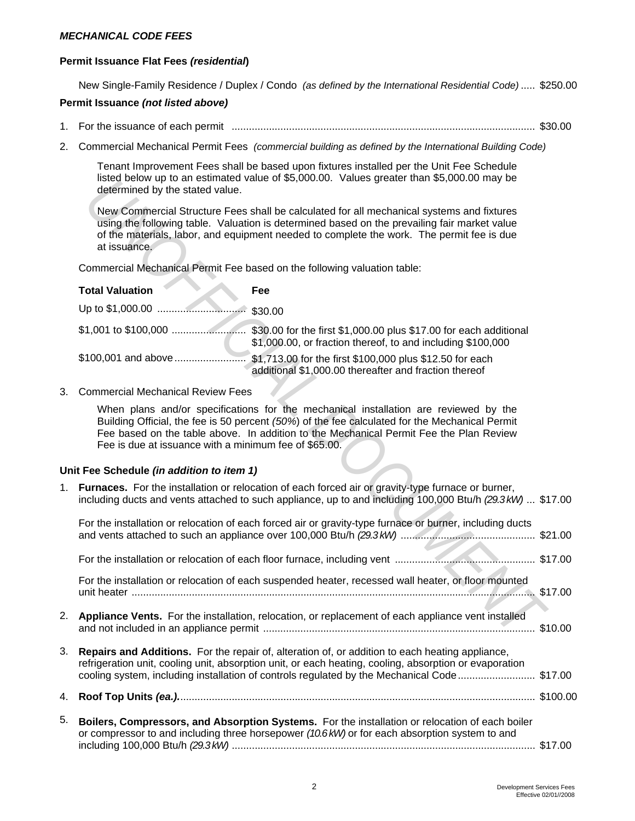#### *MECHANICAL CODE FEES*

#### **Permit Issuance Flat Fees** *(residential***)**

New Single-Family Residence / Duplex / Condo *(as defined by the International Residential Code)* ..... \$250.00

#### **Permit Issuance** *(not listed above)*

- 1. For the issuance of each permit .......................................................................................................... \$30.00
- 2. Commercial Mechanical Permit Fees *(commercial building as defined by the International Building Code)*

Tenant Improvement Fees shall be based upon fixtures installed per the Unit Fee Schedule listed below up to an estimated value of \$5,000.00. Values greater than \$5,000.00 may be determined by the stated value.

| <b>Total Valuation</b> | Fee                                                                                                               |
|------------------------|-------------------------------------------------------------------------------------------------------------------|
|                        | \$30.00                                                                                                           |
|                        | \$1,000.00, or fraction thereof, to and including \$100,000                                                       |
| \$100,001 and above    | \$1,713.00 for the first \$100,000 plus \$12.50 for each<br>additional \$1,000.00 thereafter and fraction thereof |

#### **Unit Fee Schedule** *(in addition to item 1)*

|    | $\mu$ is equal the control of the summaried value of \$5,000.00. Values greater than \$5,000.00 may be<br>determined by the stated value.                                                                                                                                                                                                 |  |
|----|-------------------------------------------------------------------------------------------------------------------------------------------------------------------------------------------------------------------------------------------------------------------------------------------------------------------------------------------|--|
|    | New Commercial Structure Fees shall be calculated for all mechanical systems and fixtures<br>using the following table. Valuation is determined based on the prevailing fair market value<br>of the materials, labor, and equipment needed to complete the work. The permit fee is due<br>at issuance.                                    |  |
|    | Commercial Mechanical Permit Fee based on the following valuation table:                                                                                                                                                                                                                                                                  |  |
|    | <b>Total Valuation</b><br>Fee                                                                                                                                                                                                                                                                                                             |  |
|    |                                                                                                                                                                                                                                                                                                                                           |  |
|    | \$1,000.00, or fraction thereof, to and including \$100,000                                                                                                                                                                                                                                                                               |  |
|    | additional \$1,000.00 thereafter and fraction thereof                                                                                                                                                                                                                                                                                     |  |
| 3. | <b>Commercial Mechanical Review Fees</b>                                                                                                                                                                                                                                                                                                  |  |
|    | When plans and/or specifications for the mechanical installation are reviewed by the<br>Building Official, the fee is 50 percent (50%) of the fee calculated for the Mechanical Permit<br>Fee based on the table above. In addition to the Mechanical Permit Fee the Plan Review<br>Fee is due at issuance with a minimum fee of \$65.00. |  |
|    | Unit Fee Schedule (in addition to item 1)                                                                                                                                                                                                                                                                                                 |  |
| 1. | Furnaces. For the installation or relocation of each forced air or gravity-type furnace or burner,<br>including ducts and vents attached to such appliance, up to and including 100,000 Btu/h (29.3kW)  \$17.00                                                                                                                           |  |
|    | For the installation or relocation of each forced air or gravity-type furnace or burner, including ducts                                                                                                                                                                                                                                  |  |
|    |                                                                                                                                                                                                                                                                                                                                           |  |
|    | For the installation or relocation of each suspended heater, recessed wall heater, or floor mounted                                                                                                                                                                                                                                       |  |
| 2. | Appliance Vents. For the installation, relocation, or replacement of each appliance vent installed                                                                                                                                                                                                                                        |  |
| 3. | Repairs and Additions. For the repair of, alteration of, or addition to each heating appliance,<br>refrigeration unit, cooling unit, absorption unit, or each heating, cooling, absorption or evaporation<br>cooling system, including installation of controls regulated by the Mechanical Code \$17.00                                  |  |
| 4. |                                                                                                                                                                                                                                                                                                                                           |  |
| 5. | Boilers, Compressors, and Absorption Systems. For the installation or relocation of each boiler<br>or compressor to and including three horsepower (10.6 kW) or for each absorption system to and                                                                                                                                         |  |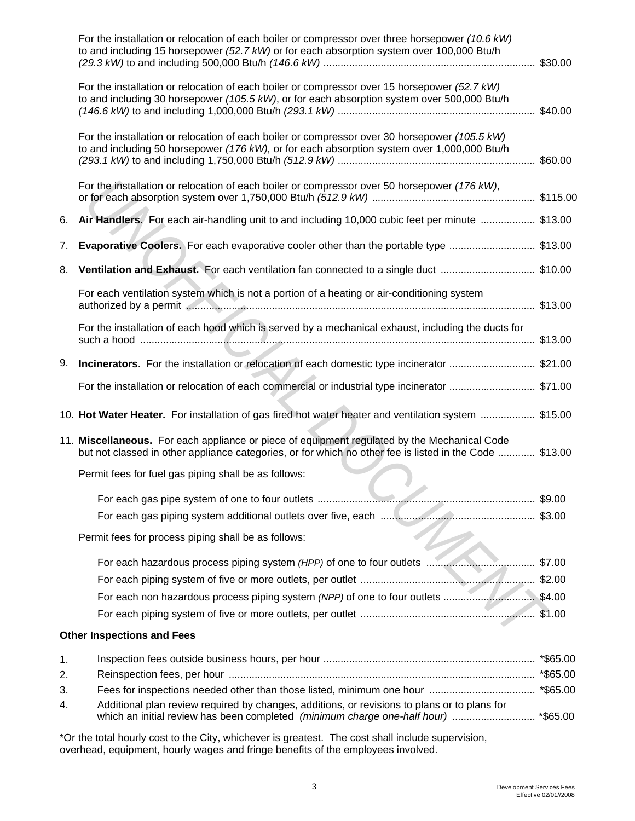|    | For the installation or relocation of each boiler or compressor over three horsepower (10.6 kW)<br>to and including 15 horsepower (52.7 kW) or for each absorption system over 100,000 Btu/h            |  |
|----|---------------------------------------------------------------------------------------------------------------------------------------------------------------------------------------------------------|--|
|    | For the installation or relocation of each boiler or compressor over 15 horsepower (52.7 kW)<br>to and including 30 horsepower (105.5 kW), or for each absorption system over 500,000 Btu/h             |  |
|    | For the installation or relocation of each boiler or compressor over 30 horsepower (105.5 kW)<br>to and including 50 horsepower (176 kW), or for each absorption system over 1,000,000 Btu/h            |  |
|    | For the installation or relocation of each boiler or compressor over 50 horsepower (176 kW),                                                                                                            |  |
| 6. | Air Handlers. For each air-handling unit to and including 10,000 cubic feet per minute  \$13.00                                                                                                         |  |
| 7. | <b>Evaporative Coolers.</b> For each evaporative cooler other than the portable type  \$13.00                                                                                                           |  |
| 8. | Ventilation and Exhaust. For each ventilation fan connected to a single duct  \$10.00                                                                                                                   |  |
|    | For each ventilation system which is not a portion of a heating or air-conditioning system                                                                                                              |  |
|    | For the installation of each hood which is served by a mechanical exhaust, including the ducts for                                                                                                      |  |
| 9. |                                                                                                                                                                                                         |  |
|    | For the installation or relocation of each commercial or industrial type incinerator  \$71.00                                                                                                           |  |
|    | 10. Hot Water Heater. For installation of gas fired hot water heater and ventilation system  \$15.00                                                                                                    |  |
|    | 11. Miscellaneous. For each appliance or piece of equipment regulated by the Mechanical Code<br>but not classed in other appliance categories, or for which no other fee is listed in the Code  \$13.00 |  |
|    | Permit fees for fuel gas piping shall be as follows:                                                                                                                                                    |  |
|    |                                                                                                                                                                                                         |  |
|    |                                                                                                                                                                                                         |  |
|    | Permit fees for process piping shall be as follows:                                                                                                                                                     |  |
|    |                                                                                                                                                                                                         |  |
|    |                                                                                                                                                                                                         |  |
|    | For each non hazardous process piping system (NPP) of one to four outlets \$4.00                                                                                                                        |  |
|    |                                                                                                                                                                                                         |  |
|    | <b>Other Inspections and Fees</b>                                                                                                                                                                       |  |
| 1. |                                                                                                                                                                                                         |  |
| 2. |                                                                                                                                                                                                         |  |
| 3. |                                                                                                                                                                                                         |  |
| 4. | Additional plan review required by changes, additions, or revisions to plans or to plans for                                                                                                            |  |
|    | *Or the total hourly cost to the City, whichever is greatest. The cost shall include supervision,                                                                                                       |  |

overhead, equipment, hourly wages and fringe benefits of the employees involved.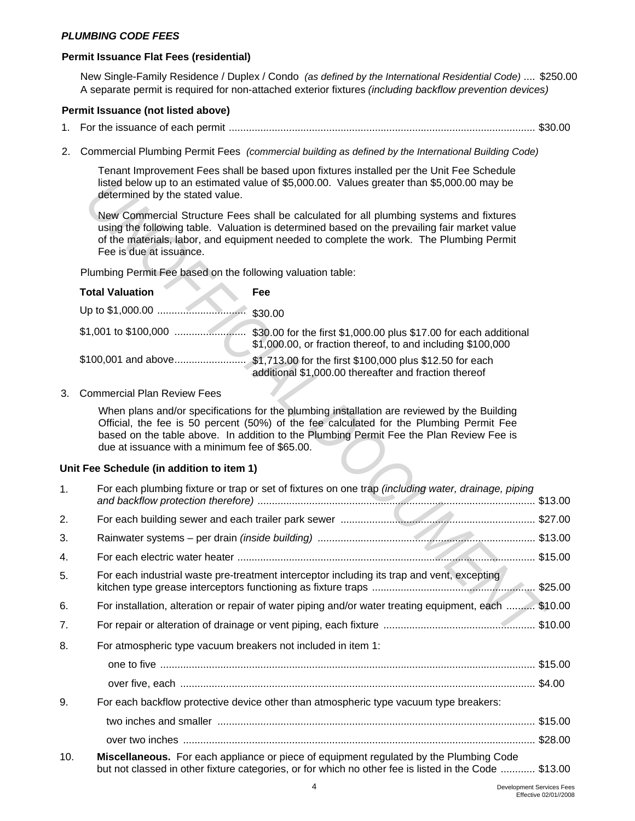#### *PLUMBING CODE FEES*

#### **Permit Issuance Flat Fees (residential)**

New Single-Family Residence / Duplex / Condo *(as defined by the International Residential Code)* .... \$250.00 A separate permit is required for non-attached exterior fixtures *(including backflow prevention devices)*

#### **Permit Issuance (not listed above)**

- 1. For the issuance of each permit ........................................................................................................... \$30.00
- 2. Commercial Plumbing Permit Fees *(commercial building as defined by the International Building Code)*

Tenant Improvement Fees shall be based upon fixtures installed per the Unit Fee Schedule listed below up to an estimated value of \$5,000.00. Values greater than \$5,000.00 may be determined by the stated value.

| <b>Total Valuation</b> | <b>Fee</b>                                                                                                                       |
|------------------------|----------------------------------------------------------------------------------------------------------------------------------|
| Up to \$1,000.00       | \$30.00                                                                                                                          |
| \$1,001 to \$100,000   | \$30.00 for the first \$1,000.00 plus \$17.00 for each additional<br>\$1,000.00, or fraction thereof, to and including \$100,000 |
| \$100,001 and above    | \$1,713.00 for the first \$100,000 plus \$12.50 for each<br>additional \$1,000.00 thereafter and fraction thereof                |

# **Unit Fee Schedule (in addition to item 1)**

|     | listed below up to an estimated value of \$5,000.00. Values greater than \$5,000.00 may be<br>determined by the stated value.                                                                                                                                                                                                       |  |
|-----|-------------------------------------------------------------------------------------------------------------------------------------------------------------------------------------------------------------------------------------------------------------------------------------------------------------------------------------|--|
|     | New Commercial Structure Fees shall be calculated for all plumbing systems and fixtures<br>using the following table. Valuation is determined based on the prevailing fair market value<br>of the materials, labor, and equipment needed to complete the work. The Plumbing Permit<br>Fee is due at issuance.                       |  |
|     | Plumbing Permit Fee based on the following valuation table:                                                                                                                                                                                                                                                                         |  |
|     | <b>Total Valuation</b><br>Fee                                                                                                                                                                                                                                                                                                       |  |
|     | \$30.00                                                                                                                                                                                                                                                                                                                             |  |
|     | \$1,000.00, or fraction thereof, to and including \$100,000                                                                                                                                                                                                                                                                         |  |
|     | \$100,001 and above<br>\$1,713.00 for the first \$100,000 plus \$12.50 for each<br>additional \$1,000.00 thereafter and fraction thereof                                                                                                                                                                                            |  |
| 3.  | <b>Commercial Plan Review Fees</b>                                                                                                                                                                                                                                                                                                  |  |
|     | When plans and/or specifications for the plumbing installation are reviewed by the Building<br>Official, the fee is 50 percent (50%) of the fee calculated for the Plumbing Permit Fee<br>based on the table above. In addition to the Plumbing Permit Fee the Plan Review Fee is<br>due at issuance with a minimum fee of \$65.00. |  |
|     | Unit Fee Schedule (in addition to item 1)                                                                                                                                                                                                                                                                                           |  |
| 1.  | For each plumbing fixture or trap or set of fixtures on one trap (including water, drainage, piping                                                                                                                                                                                                                                 |  |
| 2.  |                                                                                                                                                                                                                                                                                                                                     |  |
| 3.  |                                                                                                                                                                                                                                                                                                                                     |  |
| 4.  |                                                                                                                                                                                                                                                                                                                                     |  |
| 5.  | For each industrial waste pre-treatment interceptor including its trap and vent, excepting                                                                                                                                                                                                                                          |  |
| 6.  | For installation, alteration or repair of water piping and/or water treating equipment, each  \$10.00                                                                                                                                                                                                                               |  |
| 7.  |                                                                                                                                                                                                                                                                                                                                     |  |
| 8.  | For atmospheric type vacuum breakers not included in item 1:                                                                                                                                                                                                                                                                        |  |
|     |                                                                                                                                                                                                                                                                                                                                     |  |
|     |                                                                                                                                                                                                                                                                                                                                     |  |
| 9.  | For each backflow protective device other than atmospheric type vacuum type breakers:                                                                                                                                                                                                                                               |  |
|     |                                                                                                                                                                                                                                                                                                                                     |  |
|     |                                                                                                                                                                                                                                                                                                                                     |  |
| 10. | Miscellaneous. For each appliance or piece of equipment regulated by the Plumbing Code<br>but not classed in other fixture categories, or for which no other fee is listed in the Code  \$13.00                                                                                                                                     |  |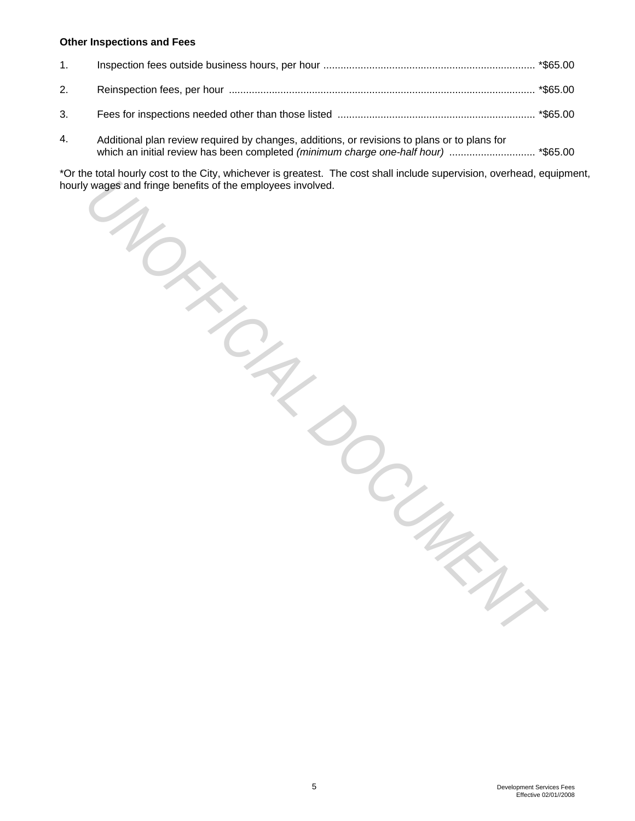#### **Other Inspections and Fees**

| 1. |  |
|----|--|
|    |  |
| 3. |  |

4. Additional plan review required by changes, additions, or revisions to plans or to plans for which an initial review has been completed *(minimum charge one-half hour)* .............................. \*\$65.00

\*Or the total hourly cost to the City, whichever is greatest. The cost shall include supervision, overhead, equipment, hourly wages and fringe benefits of the employees involved. **Example 3** and fringe benefits of the employees involver and fringe benefits of the employees involver  $\frac{1}{2}$ 

*DOCUMENT*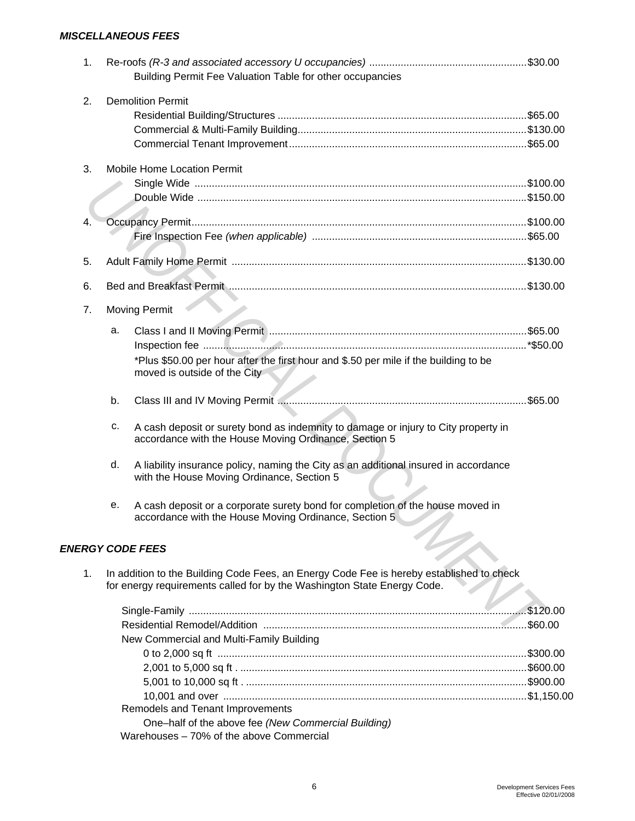# *MISCELLANEOUS FEES*

| 1. |    |                                                                                                 |  |
|----|----|-------------------------------------------------------------------------------------------------|--|
|    |    | Building Permit Fee Valuation Table for other occupancies                                       |  |
| 2. |    | <b>Demolition Permit</b>                                                                        |  |
|    |    |                                                                                                 |  |
|    |    |                                                                                                 |  |
|    |    |                                                                                                 |  |
|    |    | <b>Mobile Home Location Permit</b>                                                              |  |
| 3. |    |                                                                                                 |  |
|    |    |                                                                                                 |  |
|    |    |                                                                                                 |  |
| 4. |    |                                                                                                 |  |
|    |    |                                                                                                 |  |
|    |    |                                                                                                 |  |
| 5. |    |                                                                                                 |  |
| 6. |    |                                                                                                 |  |
|    |    |                                                                                                 |  |
| 7. |    | <b>Moving Permit</b>                                                                            |  |
|    | a. |                                                                                                 |  |
|    |    |                                                                                                 |  |
|    |    | *Plus \$50.00 per hour after the first hour and \$.50 per mile if the building to be            |  |
|    |    | moved is outside of the City                                                                    |  |
|    |    |                                                                                                 |  |
|    | b. |                                                                                                 |  |
|    | c. | A cash deposit or surety bond as indemnity to damage or injury to City property in              |  |
|    |    | accordance with the House Moving Ordinance, Section 5                                           |  |
|    |    |                                                                                                 |  |
|    | d. | A liability insurance policy, naming the City as an additional insured in accordance            |  |
|    |    | with the House Moving Ordinance, Section 5                                                      |  |
|    |    |                                                                                                 |  |
|    | е. | A cash deposit or a corporate surety bond for completion of the house moved in                  |  |
|    |    | accordance with the House Moving Ordinance, Section 5                                           |  |
|    |    |                                                                                                 |  |
|    |    | <b>ENERGY CODE FEES</b>                                                                         |  |
| 1. |    | In addition to the Building Code Fees, an Energy Code Fee is hereby established to check        |  |
|    |    | for energy requirements called for by the Washington State Energy Code.                         |  |
|    |    |                                                                                                 |  |
|    |    |                                                                                                 |  |
|    |    |                                                                                                 |  |
|    |    | New Commercial and Multi-Family Building                                                        |  |
|    |    |                                                                                                 |  |
|    |    |                                                                                                 |  |
|    |    |                                                                                                 |  |
|    |    |                                                                                                 |  |
|    |    | Remodels and Tenant Improvements                                                                |  |
|    |    | One-half of the above fee (New Commercial Building)<br>Warehouses - 70% of the above Commercial |  |
|    |    |                                                                                                 |  |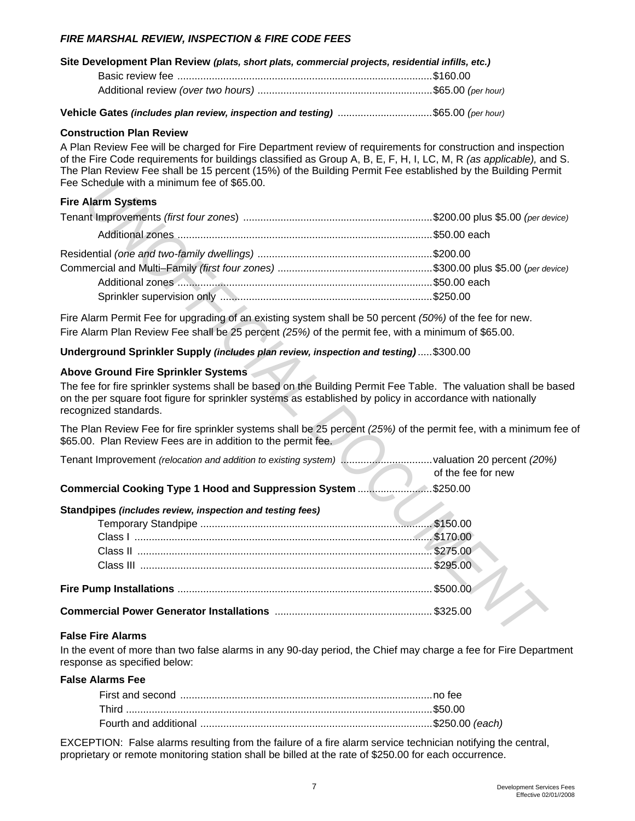# *FIRE MARSHAL REVIEW, INSPECTION & FIRE CODE FEES*

| Site Development Plan Review (plats, short plats, commercial projects, residential infills, etc.) |  |  |
|---------------------------------------------------------------------------------------------------|--|--|
|                                                                                                   |  |  |
|                                                                                                   |  |  |

**Vehicle Gates** *(includes plan review, inspection and testing)* .................................\$65.00 *(per hour)*

#### **Construction Plan Review**

A Plan Review Fee will be charged for Fire Department review of requirements for construction and inspection of the Fire Code requirements for buildings classified as Group A, B, E, F, H, I, LC, M, R *(as applicable),* and S. The Plan Review Fee shall be 15 percent (15%) of the Building Permit Fee established by the Building Permit Fee Schedule with a minimum fee of \$65.00.

#### **Fire Alarm Systems**

| Fee Schedule with a minimum fee of \$65.00.                                                                                                                                                                                                                                                    |                    |
|------------------------------------------------------------------------------------------------------------------------------------------------------------------------------------------------------------------------------------------------------------------------------------------------|--------------------|
| <b>Fire Alarm Systems</b>                                                                                                                                                                                                                                                                      |                    |
|                                                                                                                                                                                                                                                                                                |                    |
|                                                                                                                                                                                                                                                                                                |                    |
|                                                                                                                                                                                                                                                                                                |                    |
|                                                                                                                                                                                                                                                                                                |                    |
|                                                                                                                                                                                                                                                                                                |                    |
|                                                                                                                                                                                                                                                                                                |                    |
| Fire Alarm Permit Fee for upgrading of an existing system shall be 50 percent (50%) of the fee for new.<br>Fire Alarm Plan Review Fee shall be 25 percent (25%) of the permit fee, with a minimum of \$65.00.                                                                                  |                    |
| Underground Sprinkler Supply (includes plan review, inspection and testing)\$300.00                                                                                                                                                                                                            |                    |
| Above Ground Fire Sprinkler Systems<br>The fee for fire sprinkler systems shall be based on the Building Permit Fee Table. The valuation shall be based<br>on the per square foot figure for sprinkler systems as established by policy in accordance with nationally<br>recognized standards. |                    |
| The Plan Review Fee for fire sprinkler systems shall be 25 percent (25%) of the permit fee, with a minimum fee<br>\$65.00. Plan Review Fees are in addition to the permit fee.                                                                                                                 |                    |
| Tenant Improvement (relocation and addition to existing system) valuation 20 percent (20%)                                                                                                                                                                                                     | of the fee for new |
| Commercial Cooking Type 1 Hood and Suppression System \$250.00                                                                                                                                                                                                                                 |                    |
| Standpipes (includes review, inspection and testing fees)                                                                                                                                                                                                                                      |                    |
|                                                                                                                                                                                                                                                                                                |                    |
|                                                                                                                                                                                                                                                                                                |                    |
|                                                                                                                                                                                                                                                                                                |                    |
|                                                                                                                                                                                                                                                                                                |                    |
|                                                                                                                                                                                                                                                                                                |                    |
|                                                                                                                                                                                                                                                                                                |                    |
| <b>False Fire Alarms</b>                                                                                                                                                                                                                                                                       |                    |

#### **Above Ground Fire Sprinkler Systems**

|  | of the fee for new |
|--|--------------------|

|  | Commercial Cooking Type 1 Hood and Suppression System \$250.00 |  |
|--|----------------------------------------------------------------|--|
|--|----------------------------------------------------------------|--|

#### **Standpipes** *(includes review, inspection and testing fees)*

#### **False Fire Alarms**

In the event of more than two false alarms in any 90-day period, the Chief may charge a fee for Fire Department response as specified below:

#### **False Alarms Fee**

EXCEPTION: False alarms resulting from the failure of a fire alarm service technician notifying the central, proprietary or remote monitoring station shall be billed at the rate of \$250.00 for each occurrence.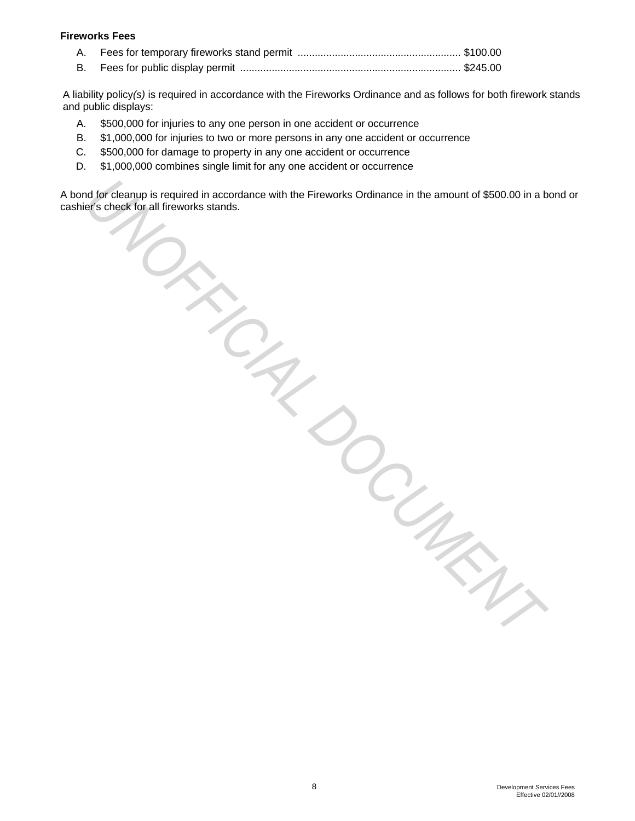#### **Fireworks Fees**

|--|--|--|

B. Fees for public display permit ............................................................................. \$245.00

A liability policy*(s)* is required in accordance with the Fireworks Ordinance and as follows for both firework stands and public displays:

- A. \$500,000 for injuries to any one person in one accident or occurrence
- B. \$1,000,000 for injuries to two or more persons in any one accident or occurrence
- C. \$500,000 for damage to property in any one accident or occurrence
- D. \$1,000,000 combines single limit for any one accident or occurrence

A bond for cleanup is required in accordance with the Fireworks Ordinance in the amount of \$500.00 in a bond or cashier's check for all fireworks stands. **UNITED CLANSIFICIAL DESCRIPTION**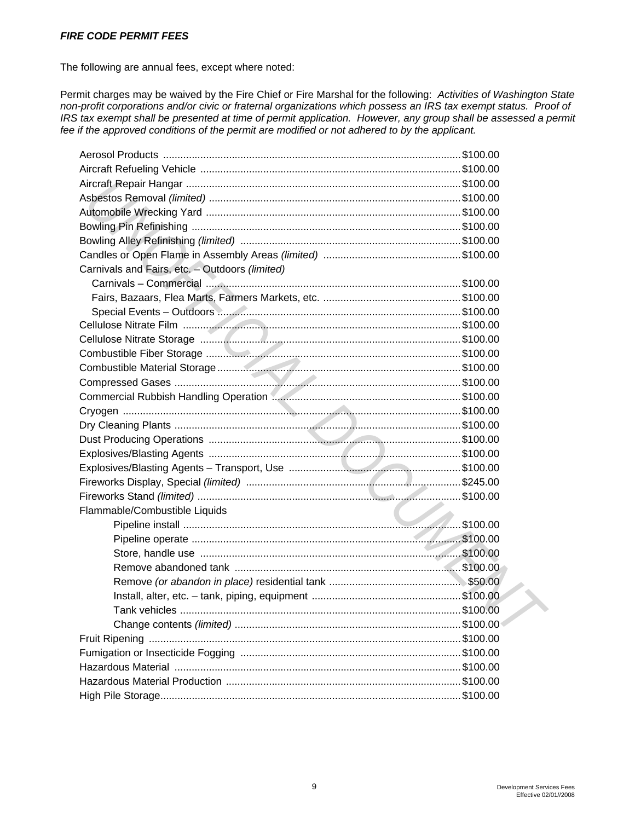#### *FIRE CODE PERMIT FEES*

The following are annual fees, except where noted:

Permit charges may be waived by the Fire Chief or Fire Marshal for the following: *Activities of Washington State non-profit corporations and/or civic or fraternal organizations which possess an IRS tax exempt status. Proof of IRS tax exempt shall be presented at time of permit application. However, any group shall be assessed a permit fee if the approved conditions of the permit are modified or not adhered to by the applicant.*

| Carnivals and Fairs, etc. - Outdoors (limited) |  |
|------------------------------------------------|--|
|                                                |  |
|                                                |  |
|                                                |  |
|                                                |  |
|                                                |  |
|                                                |  |
|                                                |  |
|                                                |  |
|                                                |  |
|                                                |  |
|                                                |  |
|                                                |  |
|                                                |  |
|                                                |  |
|                                                |  |
|                                                |  |
| Flammable/Combustible Liquids                  |  |
|                                                |  |
|                                                |  |
|                                                |  |
|                                                |  |
|                                                |  |
|                                                |  |
|                                                |  |
|                                                |  |
|                                                |  |
|                                                |  |
|                                                |  |
|                                                |  |
|                                                |  |
|                                                |  |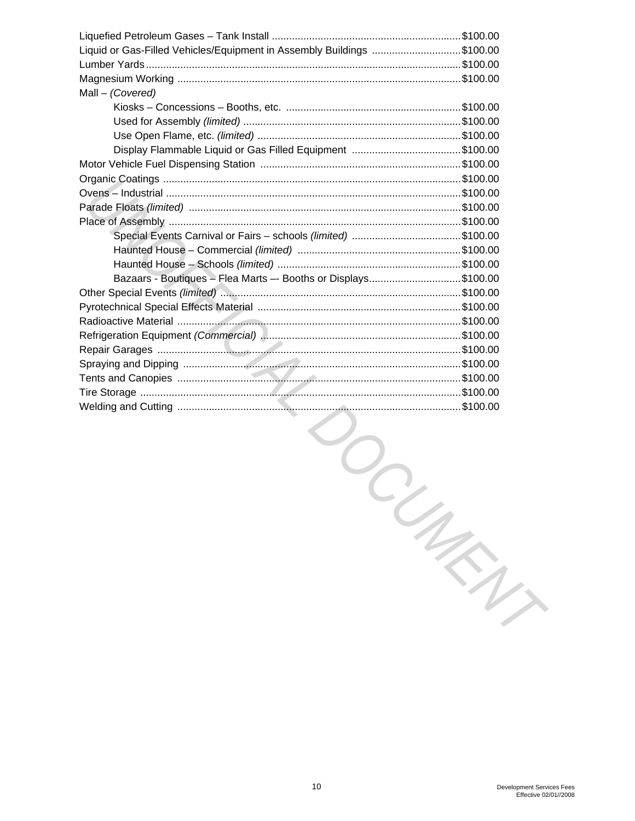| Liquid or Gas-Filled Vehicles/Equipment in Assembly Buildings \$100.00 |  |
|------------------------------------------------------------------------|--|
|                                                                        |  |
|                                                                        |  |
| Mall - (Covered)                                                       |  |
|                                                                        |  |
|                                                                        |  |
|                                                                        |  |
|                                                                        |  |
|                                                                        |  |
|                                                                        |  |
|                                                                        |  |
|                                                                        |  |
|                                                                        |  |
|                                                                        |  |
|                                                                        |  |
|                                                                        |  |
| Bazaars - Boutiques - Flea Marts -- Booths or Displays\$100.00         |  |
|                                                                        |  |
|                                                                        |  |
|                                                                        |  |
|                                                                        |  |
|                                                                        |  |
|                                                                        |  |
|                                                                        |  |
|                                                                        |  |
|                                                                        |  |

**TOUTER**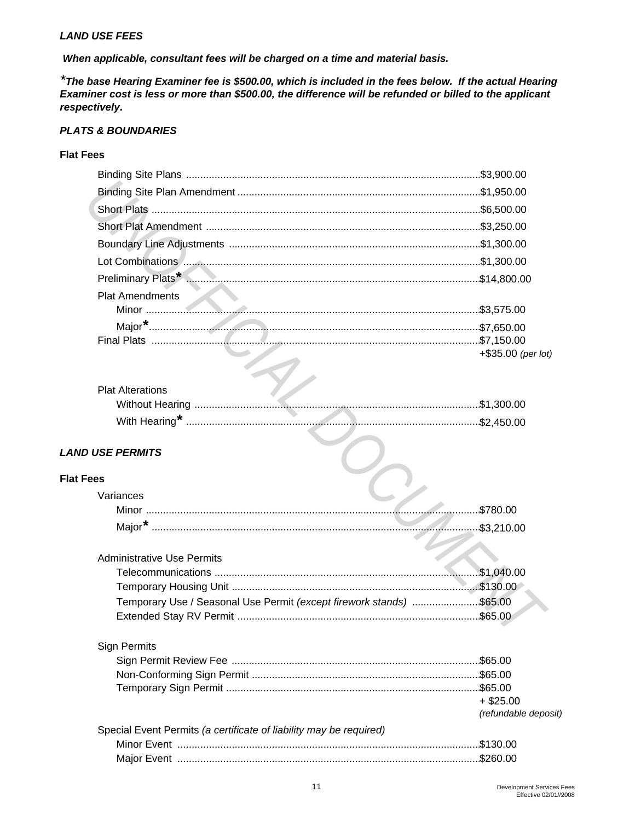#### *LAND USE FEES*

 *When applicable, consultant fees will be charged on a time and material basis.* 

*\*The base Hearing Examiner fee is \$500.00, which is included in the fees below. If the actual Hearing Examiner cost is less or more than \$500.00, the difference will be refunded or billed to the applicant respectively.* 

### *PLATS & BOUNDARIES*

# **Flat Fees**

|                  | <b>Plat Amendments</b>                                                                                         |                    |
|------------------|----------------------------------------------------------------------------------------------------------------|--------------------|
|                  |                                                                                                                |                    |
|                  |                                                                                                                |                    |
|                  | 7,150.00 \$7,150.00 \$7,150.00 \$7,150.00 \$7,150.00 \$7,150.00 \$7,150.00 \$7,150.00 \$7,150.00 \$7,150.00 \$ |                    |
|                  |                                                                                                                | +\$35.00 (per lot) |
|                  |                                                                                                                |                    |
|                  | <b>Plat Alterations</b>                                                                                        |                    |
|                  |                                                                                                                |                    |
|                  |                                                                                                                |                    |
|                  | <b>LAND USE PERMITS</b>                                                                                        |                    |
|                  |                                                                                                                |                    |
| <b>Flat Fees</b> |                                                                                                                |                    |
|                  | Variances                                                                                                      |                    |
|                  |                                                                                                                |                    |
|                  |                                                                                                                |                    |
|                  |                                                                                                                |                    |
|                  | <b>Administrative Use Permits</b>                                                                              |                    |
|                  |                                                                                                                |                    |
|                  |                                                                                                                |                    |
|                  | Temporary Use / Seasonal Use Permit (except firework stands) \$65.00                                           |                    |
|                  |                                                                                                                |                    |
|                  |                                                                                                                |                    |
|                  |                                                                                                                |                    |

| <b>Plat Alterations</b> |                                                                                                                                                                                                                                                        |
|-------------------------|--------------------------------------------------------------------------------------------------------------------------------------------------------------------------------------------------------------------------------------------------------|
|                         | 1,300.00 \$1,300.00 \$1,300.00 \$1,300.00 \$1,300.00 \$1,300.00 \$1,300.00 \$1,300.00 \$1,300.00 \$1,300.00 \$1,300.00 \$1,300.00 \$1,300.00 \$1,300.00 \$1,300.00 \$1,300.00 \$1,300.00 \$1,400 \$1,400 \$1,400 \$1,400 \$1,400 \$1,400 \$1,400 \$1,4 |
|                         |                                                                                                                                                                                                                                                        |

# *LAND USE PERMITS*

#### **Flat Fees**

| Variances                                                            |            |
|----------------------------------------------------------------------|------------|
| Minor                                                                | \$780.00   |
|                                                                      | \$3,210.00 |
|                                                                      |            |
| <b>Administrative Use Permits</b>                                    |            |
|                                                                      | \$1,040.00 |
|                                                                      | \$130.00   |
| Temporary Use / Seasonal Use Permit (except firework stands) \$65.00 |            |
|                                                                      | \$65.00    |

# Sign Permits

|                                                                    | $+$ \$25.00          |
|--------------------------------------------------------------------|----------------------|
|                                                                    | (refundable deposit) |
| Special Event Permits (a certificate of liability may be required) |                      |
|                                                                    |                      |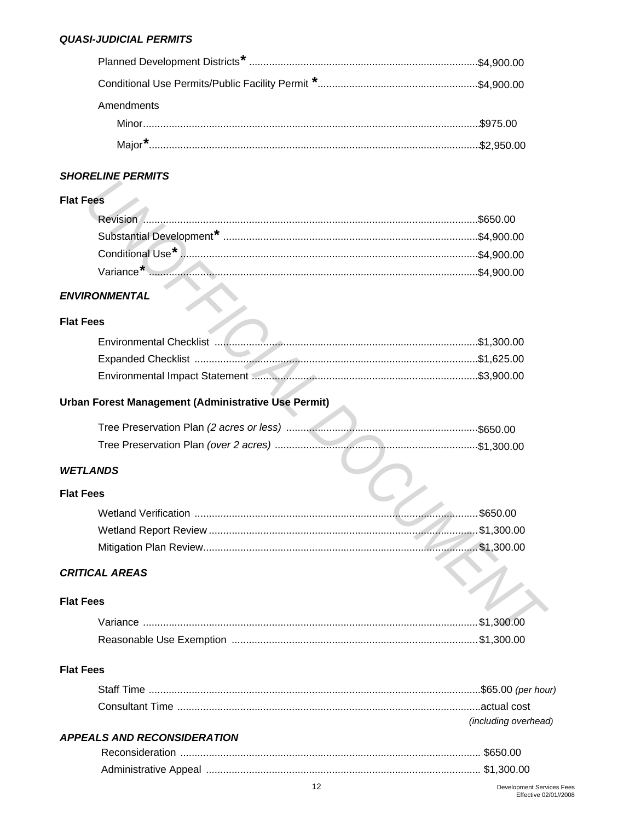| Amendments |  |
|------------|--|
|            |  |
|            |  |

# **SHORELINE PERMITS**

# **Flat Fees**

| es |  |
|----|--|
|    |  |
|    |  |
|    |  |
|    |  |

# **ENVIRONMENTAL**

# **Flat Fees**

# Urban Forest Management (Administrative Use Permit)

| NDS |  |
|-----|--|
| эs  |  |

# **WETLANDS**

# **Flat Fees**

|                 | .\$650.00      |
|-----------------|----------------|
|                 | $.$ \$1,300.00 |
|                 | $$ \$1,300.00  |
| <b>AL AREAS</b> |                |
| ۱S              |                |

# **CRITICAL AREAS**

# **Flat Fees**

| Reasonable Use Exemption …………………………………………………………………………\$1,300.00 |  |
|-----------------------------------------------------------------|--|

# **Flat Fees**

| <i>(including overhead)</i> |
|-----------------------------|

# **APPEALS AND RECONSIDERATION**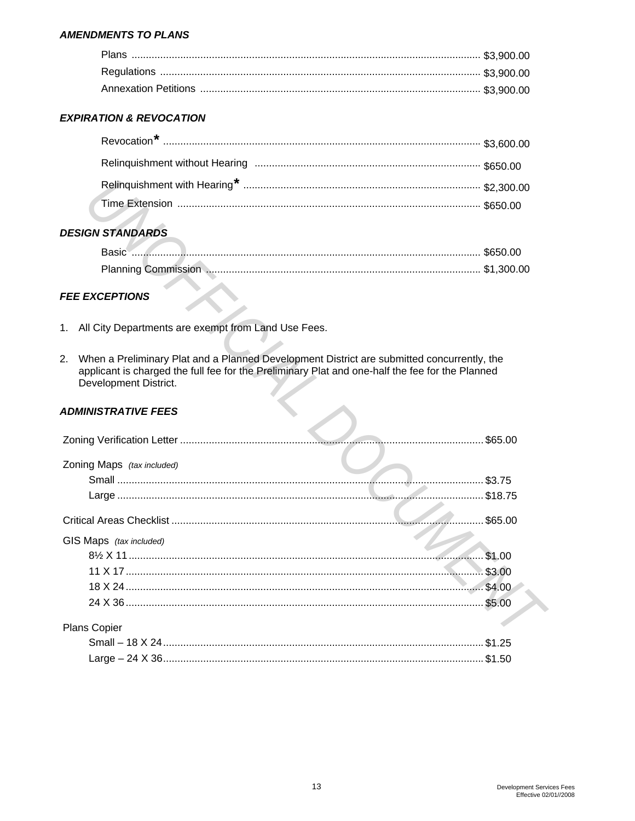#### **AMENDMENTS TO PLANS**

# **EXPIRATION & REVOCATION**

# **DESIGN STANDARDS**

# **FEE EXCEPTIONS**

- 1. All City Departments are exempt from Land Use Fees.
- 2. When a Preliminary Plat and a Planned Development District are submitted concurrently, the applicant is charged the full fee for the Preliminary Plat and one-half the fee for the Planned Development District.

# **ADMINISTRATIVE FEES**

|                            | \$65.00     |
|----------------------------|-------------|
| Zoning Maps (tax included) |             |
|                            | . \$3.75    |
|                            | $.$ \$18.75 |
|                            | \$65.00     |
| GIS Maps (tax included)    |             |
|                            | \$1.00      |
|                            | \$3.00      |
|                            | \$4.00      |
|                            | \$5.00      |
| <b>Plans Copier</b>        |             |
|                            | \$1 25      |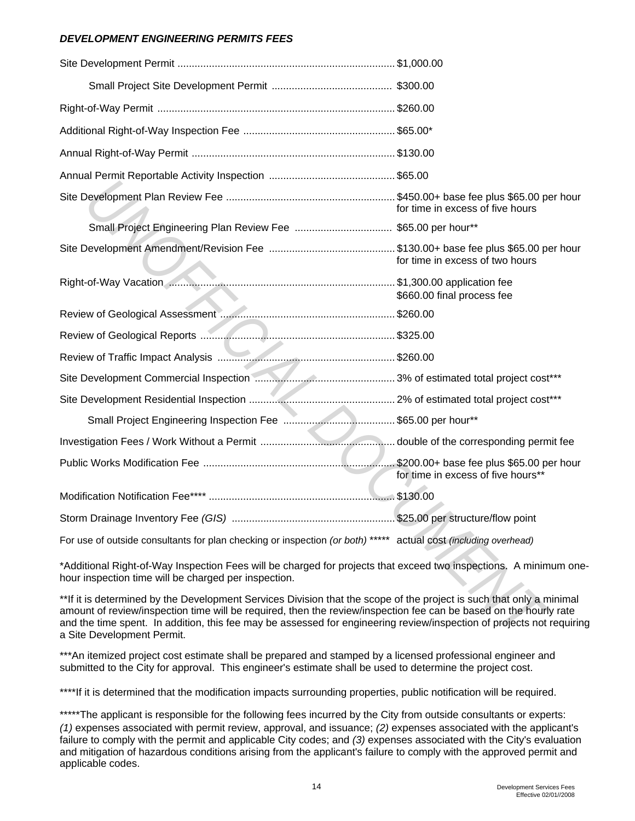# *DEVELOPMENT ENGINEERING PERMITS FEES*

|                                                                                                                                                                                                                                                                                                                                                                                                 | for time in excess of five hours   |
|-------------------------------------------------------------------------------------------------------------------------------------------------------------------------------------------------------------------------------------------------------------------------------------------------------------------------------------------------------------------------------------------------|------------------------------------|
|                                                                                                                                                                                                                                                                                                                                                                                                 |                                    |
|                                                                                                                                                                                                                                                                                                                                                                                                 | for time in excess of two hours    |
|                                                                                                                                                                                                                                                                                                                                                                                                 | \$660.00 final process fee         |
|                                                                                                                                                                                                                                                                                                                                                                                                 |                                    |
|                                                                                                                                                                                                                                                                                                                                                                                                 |                                    |
|                                                                                                                                                                                                                                                                                                                                                                                                 |                                    |
|                                                                                                                                                                                                                                                                                                                                                                                                 |                                    |
|                                                                                                                                                                                                                                                                                                                                                                                                 |                                    |
|                                                                                                                                                                                                                                                                                                                                                                                                 |                                    |
|                                                                                                                                                                                                                                                                                                                                                                                                 |                                    |
|                                                                                                                                                                                                                                                                                                                                                                                                 | for time in excess of five hours** |
|                                                                                                                                                                                                                                                                                                                                                                                                 |                                    |
|                                                                                                                                                                                                                                                                                                                                                                                                 |                                    |
| For use of outside consultants for plan checking or inspection (or both) ***** actual cost (including overhead)                                                                                                                                                                                                                                                                                 |                                    |
| *Additional Right-of-Way Inspection Fees will be charged for projects that exceed two inspections. A minimum one<br>hour inspection time will be charged per inspection.                                                                                                                                                                                                                        |                                    |
| **If it is determined by the Development Services Division that the scope of the project is such that only a minimal<br>amount of review/inspection time will be required, then the review/inspection fee can be based on the hourly rate<br>and the time spent. In addition, this fee may be assessed for engineering review/inspection of projects not requirin<br>a Site Development Permit. |                                    |

\*\*\*An itemized project cost estimate shall be prepared and stamped by a licensed professional engineer and submitted to the City for approval. This engineer's estimate shall be used to determine the project cost.

\*\*\*\*If it is determined that the modification impacts surrounding properties, public notification will be required.

\*\*\*\*\*The applicant is responsible for the following fees incurred by the City from outside consultants or experts: *(1)* expenses associated with permit review, approval, and issuance; *(2)* expenses associated with the applicant's failure to comply with the permit and applicable City codes; and *(3)* expenses associated with the City's evaluation and mitigation of hazardous conditions arising from the applicant's failure to comply with the approved permit and applicable codes.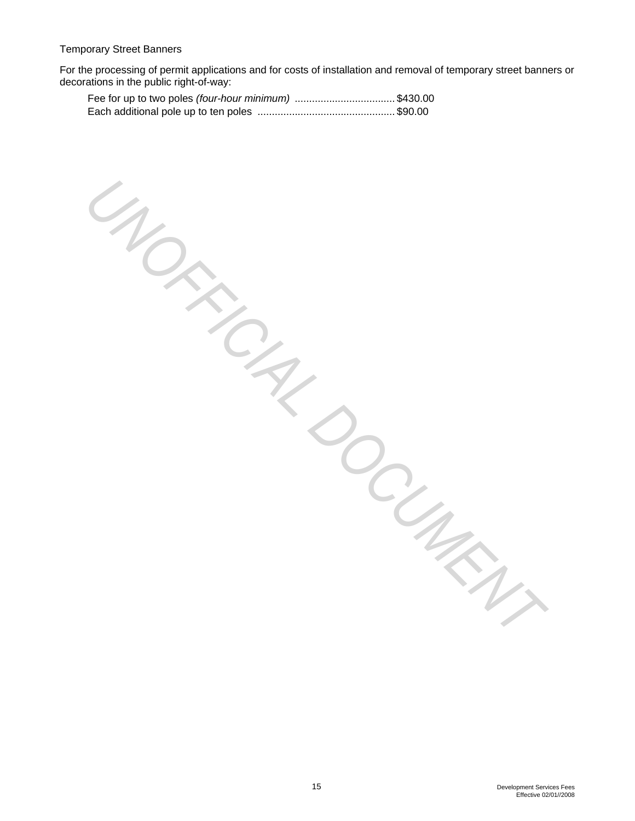For the processing of permit applications and for costs of installation and removal of temporary street banners or decorations in the public right-of-way:

UNOFFICIAL DOCUMENT

| Fee for up to two poles (four-hour minimum) \$430.00 |  |
|------------------------------------------------------|--|
|                                                      |  |

15 Development Services Fees Effective 02/01//2008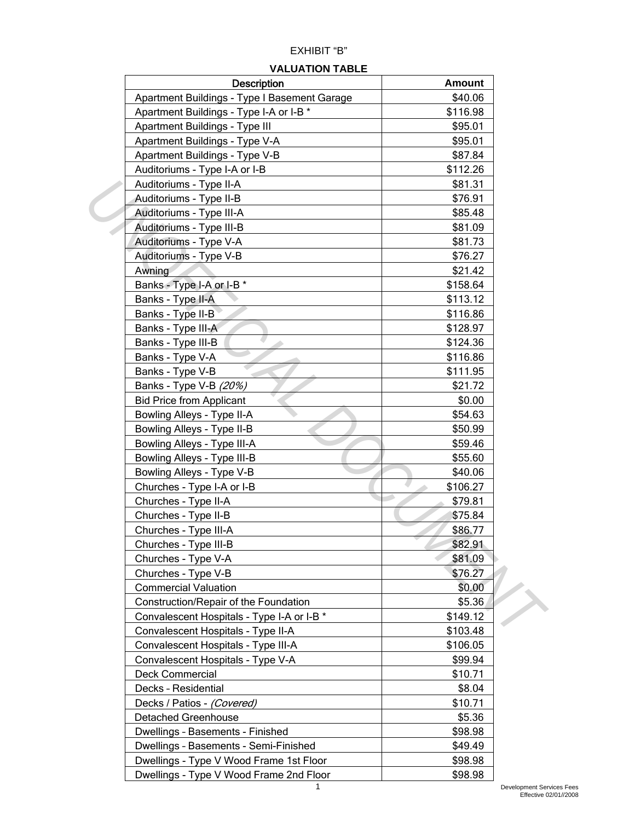# EXHIBIT "B"

#### **VALUATION TABLE**

| <b>Description</b>                           | <b>Amount</b> |  |
|----------------------------------------------|---------------|--|
| Apartment Buildings - Type I Basement Garage | \$40.06       |  |
| Apartment Buildings - Type I-A or I-B *      | \$116.98      |  |
| Apartment Buildings - Type III               | \$95.01       |  |
| Apartment Buildings - Type V-A               | \$95.01       |  |
| Apartment Buildings - Type V-B               | \$87.84       |  |
| Auditoriums - Type I-A or I-B                | \$112.26      |  |
| Auditoriums - Type II-A                      | \$81.31       |  |
| Auditoriums - Type II-B                      | \$76.91       |  |
| Auditoriums - Type III-A                     | \$85.48       |  |
| Auditoriums - Type III-B                     | \$81.09       |  |
| Auditoriums - Type V-A                       | \$81.73       |  |
| Auditoriums - Type V-B                       | \$76.27       |  |
| Awning                                       | \$21.42       |  |
| Banks - Type I-A or I-B *                    | \$158.64      |  |
| Banks - Type II-A                            | \$113.12      |  |
| Banks - Type II-B                            | \$116.86      |  |
| Banks - Type III-A                           | \$128.97      |  |
| Banks - Type III-B                           | \$124.36      |  |
| Banks - Type V-A                             | \$116.86      |  |
| Banks - Type V-B                             | \$111.95      |  |
| Banks - Type V-B (20%)                       | \$21.72       |  |
| <b>Bid Price from Applicant</b>              | \$0.00        |  |
| Bowling Alleys - Type II-A                   | \$54.63       |  |
| Bowling Alleys - Type II-B                   | \$50.99       |  |
| Bowling Alleys - Type III-A                  | \$59.46       |  |
| Bowling Alleys - Type III-B                  | \$55.60       |  |
| Bowling Alleys - Type V-B                    | \$40.06       |  |
| Churches - Type I-A or I-B                   | \$106.27      |  |
| Churches - Type II-A                         | \$79.81       |  |
| Churches - Type II-B                         | \$75.84       |  |
| Churches - Type III-A                        | \$86.77       |  |
| Churches - Type III-B                        | \$82.91       |  |
| Churches - Type V-A                          | \$81.09       |  |
| Churches - Type V-B                          | \$76.27       |  |
| <b>Commercial Valuation</b>                  | \$0.00        |  |
| Construction/Repair of the Foundation        | \$5.36        |  |
| Convalescent Hospitals - Type I-A or I-B *   | \$149.12      |  |
| Convalescent Hospitals - Type II-A           | \$103.48      |  |
| Convalescent Hospitals - Type III-A          | \$106.05      |  |
| Convalescent Hospitals - Type V-A            | \$99.94       |  |
| <b>Deck Commercial</b>                       | \$10.71       |  |
| Decks - Residential                          | \$8.04        |  |
| Decks / Patios - (Covered)                   | \$10.71       |  |
| <b>Detached Greenhouse</b>                   | \$5.36        |  |
| Dwellings - Basements - Finished             | \$98.98       |  |
| Dwellings - Basements - Semi-Finished        | \$49.49       |  |
| Dwellings - Type V Wood Frame 1st Floor      | \$98.98       |  |
| Dwellings - Type V Wood Frame 2nd Floor      | \$98.98       |  |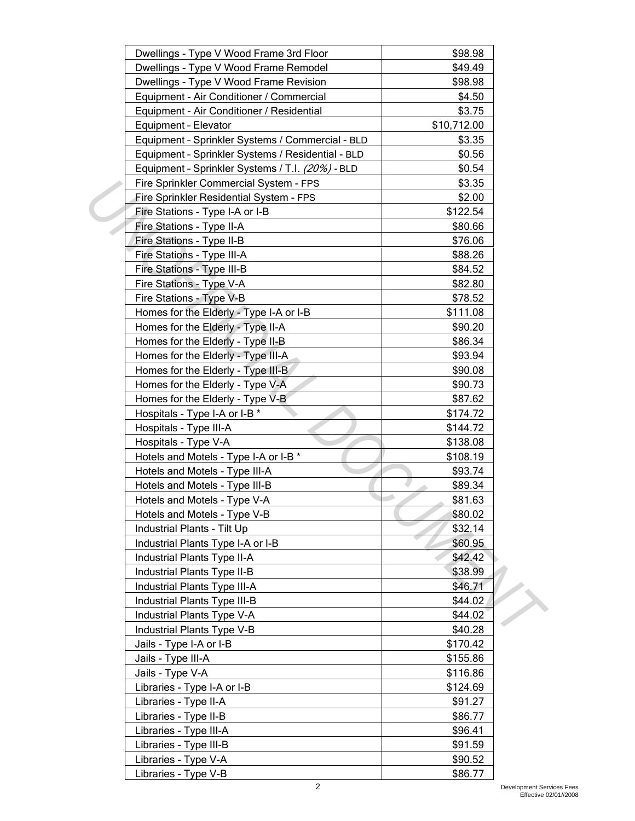| Dwellings - Type V Wood Frame 3rd Floor           | \$98.98     |  |
|---------------------------------------------------|-------------|--|
| Dwellings - Type V Wood Frame Remodel             | \$49.49     |  |
| Dwellings - Type V Wood Frame Revision            | \$98.98     |  |
| Equipment - Air Conditioner / Commercial          | \$4.50      |  |
| Equipment - Air Conditioner / Residential         | \$3.75      |  |
| Equipment - Elevator                              | \$10,712.00 |  |
| Equipment - Sprinkler Systems / Commercial - BLD  | \$3.35      |  |
| Equipment - Sprinkler Systems / Residential - BLD | \$0.56      |  |
| Equipment - Sprinkler Systems / T.I. (20%) - BLD  | \$0.54      |  |
| Fire Sprinkler Commercial System - FPS            | \$3.35      |  |
| Fire Sprinkler Residential System - FPS           | \$2.00      |  |
| Fire Stations - Type I-A or I-B                   | \$122.54    |  |
| Fire Stations - Type II-A                         | \$80.66     |  |
| Fire Stations - Type II-B                         | \$76.06     |  |
| Fire Stations - Type III-A                        | \$88.26     |  |
| Fire Stations - Type III-B                        | \$84.52     |  |
| Fire Stations - Type V-A                          | \$82.80     |  |
| Fire Stations - Type V-B                          | \$78.52     |  |
| Homes for the Elderly - Type I-A or I-B           | \$111.08    |  |
| Homes for the Elderly - Type II-A                 | \$90.20     |  |
| Homes for the Elderly - Type II-B                 | \$86.34     |  |
| Homes for the Elderly - Type III-A                | \$93.94     |  |
| Homes for the Elderly - Type III-B                | \$90.08     |  |
| Homes for the Elderly - Type V-A                  | \$90.73     |  |
| Homes for the Elderly - Type V-B                  | \$87.62     |  |
| Hospitals - Type I-A or I-B *                     | \$174.72    |  |
| Hospitals - Type III-A                            | \$144.72    |  |
| Hospitals - Type V-A                              | \$138.08    |  |
| Hotels and Motels - Type I-A or I-B *             | \$108.19    |  |
| Hotels and Motels - Type III-A                    | \$93.74     |  |
| Hotels and Motels - Type III-B                    | \$89.34     |  |
| Hotels and Motels - Type V-A                      | \$81.63     |  |
| Hotels and Motels - Type V-B                      | \$80.02     |  |
| Industrial Plants - Tilt Up                       | \$32.14     |  |
| Industrial Plants Type I-A or I-B                 | \$60.95     |  |
| Industrial Plants Type II-A                       | \$42.42     |  |
| Industrial Plants Type II-B                       | \$38.99     |  |
| Industrial Plants Type III-A                      | \$46.71     |  |
| Industrial Plants Type III-B                      | \$44.02     |  |
| Industrial Plants Type V-A                        | \$44.02     |  |
| Industrial Plants Type V-B                        | \$40.28     |  |
| Jails - Type I-A or I-B                           | \$170.42    |  |
| Jails - Type III-A                                | \$155.86    |  |
| Jails - Type V-A                                  | \$116.86    |  |
| Libraries - Type I-A or I-B                       | \$124.69    |  |
| Libraries - Type II-A                             | \$91.27     |  |
| Libraries - Type II-B                             | \$86.77     |  |
| Libraries - Type III-A                            | \$96.41     |  |
| Libraries - Type III-B                            | \$91.59     |  |
| Libraries - Type V-A                              | \$90.52     |  |
| Libraries - Type V-B                              | \$86.77     |  |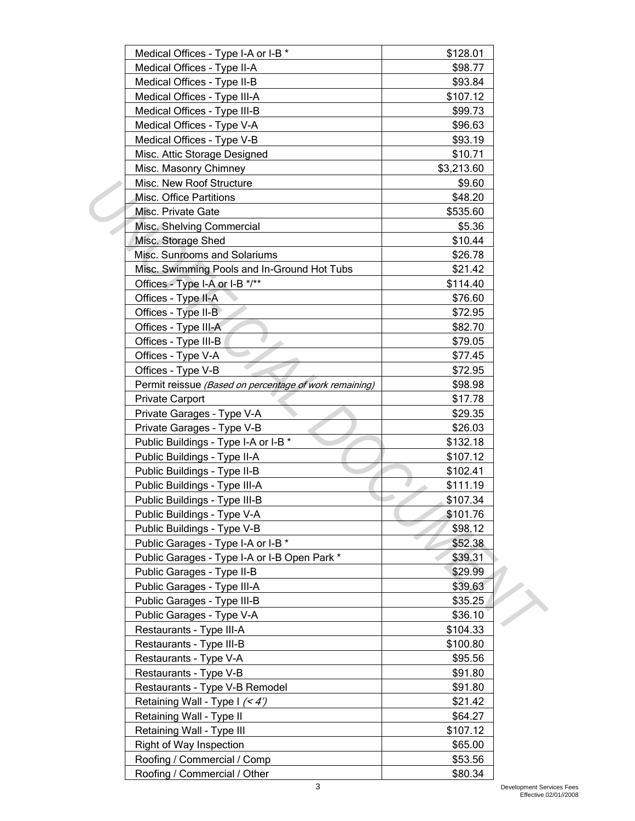| Medical Offices - Type I-A or I-B *                    | \$128.01   |  |
|--------------------------------------------------------|------------|--|
| Medical Offices - Type II-A                            | \$98.77    |  |
| Medical Offices - Type II-B                            | \$93.84    |  |
| Medical Offices - Type III-A                           | \$107.12   |  |
| Medical Offices - Type III-B                           | \$99.73    |  |
| Medical Offices - Type V-A                             | \$96.63    |  |
| Medical Offices - Type V-B                             | \$93.19    |  |
| Misc. Attic Storage Designed                           | \$10.71    |  |
| Misc. Masonry Chimney                                  | \$3,213.60 |  |
| Misc. New Roof Structure                               | \$9.60     |  |
| Misc. Office Partitions                                | \$48.20    |  |
| Misc. Private Gate                                     | \$535.60   |  |
| Misc. Shelving Commercial                              | \$5.36     |  |
| Misc. Storage Shed                                     | \$10.44    |  |
| Misc. Sunrooms and Solariums                           | \$26.78    |  |
| Misc. Swimming Pools and In-Ground Hot Tubs            | \$21.42    |  |
| Offices - Type I-A or I-B */**                         | \$114.40   |  |
| Offices - Type II-A                                    | \$76.60    |  |
| Offices - Type II-B                                    | \$72.95    |  |
| Offices - Type III-A                                   | \$82.70    |  |
| Offices - Type III-B                                   | \$79.05    |  |
| Offices - Type V-A                                     | \$77.45    |  |
| Offices - Type V-B                                     | \$72.95    |  |
| Permit reissue (Based on percentage of work remaining) | \$98.98    |  |
| <b>Private Carport</b>                                 | \$17.78    |  |
| Private Garages - Type V-A                             | \$29.35    |  |
| Private Garages - Type V-B                             | \$26.03    |  |
| Public Buildings - Type I-A or I-B *                   | \$132.18   |  |
| Public Buildings - Type II-A                           | \$107.12   |  |
| Public Buildings - Type II-B                           | \$102.41   |  |
| Public Buildings - Type III-A                          | \$111.19   |  |
| Public Buildings - Type III-B                          | \$107.34   |  |
| Public Buildings - Type V-A                            | \$101.76   |  |
| Public Buildings - Type V-B                            | \$98.12    |  |
| Public Garages - Type I-A or I-B *                     | \$52.38    |  |
| Public Garages - Type I-A or I-B Open Park *           | \$39.31    |  |
| Public Garages - Type II-B                             | \$29.99    |  |
| Public Garages - Type III-A                            | \$39.63    |  |
| Public Garages - Type III-B                            | \$35.25    |  |
| Public Garages - Type V-A                              | \$36.10    |  |
| Restaurants - Type III-A                               | \$104.33   |  |
| Restaurants - Type III-B                               | \$100.80   |  |
| Restaurants - Type V-A                                 | \$95.56    |  |
| Restaurants - Type V-B                                 | \$91.80    |  |
| Restaurants - Type V-B Remodel                         | \$91.80    |  |
| Retaining Wall - Type I (< 4')                         | \$21.42    |  |
| Retaining Wall - Type II                               | \$64.27    |  |
| Retaining Wall - Type III                              | \$107.12   |  |
| Right of Way Inspection                                | \$65.00    |  |
| Roofing / Commercial / Comp                            | \$53.56    |  |
| Roofing / Commercial / Other                           | \$80.34    |  |